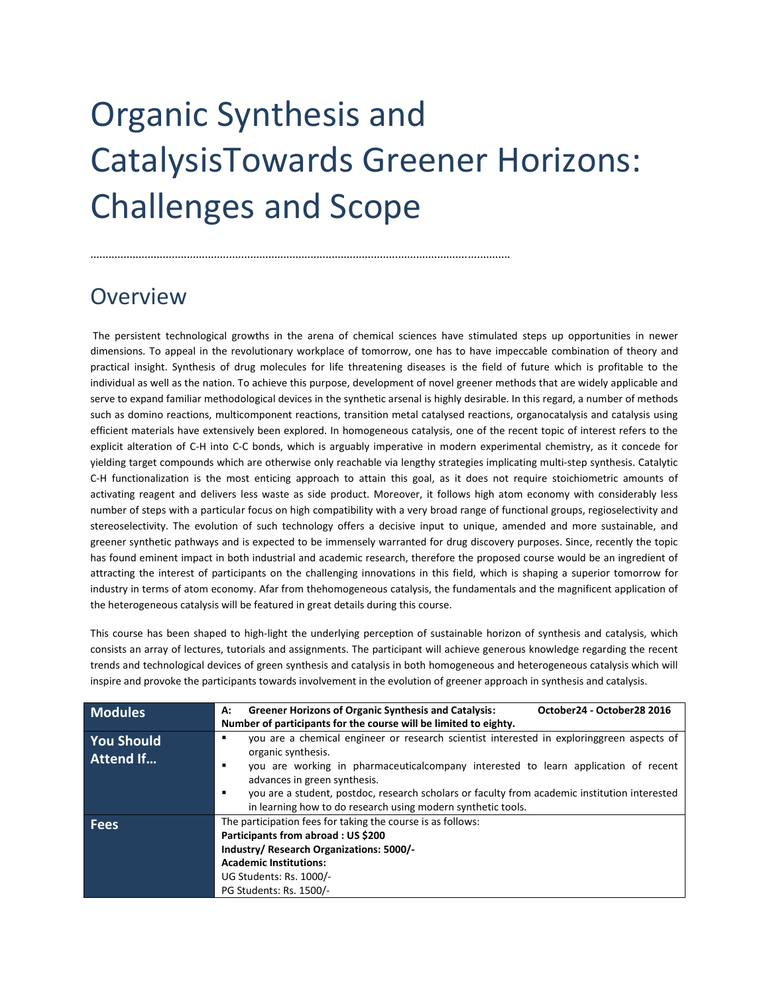## Organic Synthesis and CatalysisTowards Greener Horizons: Challenges and Scope

...........................................................................................................................................

## **Overview**

The persistent technological growths in the arena of chemical sciences have stimulated steps up opportunities in newer dimensions. To appeal in the revolutionary workplace of tomorrow, one has to have impeccable combination of theory and practical insight. Synthesis of drug molecules for life threatening diseases is the field of future which is profitable to the individual as well as the nation. To achieve this purpose, development of novel greener methods that are widely applicable and serve to expand familiar methodological devices in the synthetic arsenal is highly desirable. In this regard, a number of methods such as domino reactions, multicomponent reactions, transition metal catalysed reactions, organocatalysis and catalysis using efficient materials have extensively been explored. In homogeneous catalysis, one of the recent topic of interest refers to the explicit alteration of C-H into C-C bonds, which is arguably imperative in modern experimental chemistry, as it concede for yielding target compounds which are otherwise only reachable via lengthy strategies implicating multi-step synthesis. Catalytic C-H functionalization is the most enticing approach to attain this goal, as it does not require stoichiometric amounts of activating reagent and delivers less waste as side product. Moreover, it follows high atom economy with considerably less number of steps with a particular focus on high compatibility with a very broad range of functional groups, regioselectivity and stereoselectivity. The evolution of such technology offers a decisive input to unique, amended and more sustainable, and greener synthetic pathways and is expected to be immensely warranted for drug discovery purposes. Since, recently the topic has found eminent impact in both industrial and academic research, therefore the proposed course would be an ingredient of attracting the interest of participants on the challenging innovations in this field, which is shaping a superior tomorrow for industry in terms of atom economy. Afar from thehomogeneous catalysis, the fundamentals and the magnificent application of the heterogeneous catalysis will be featured in great details during this course.

This course has been shaped to high-light the underlying perception of sustainable horizon of synthesis and catalysis, which consists an array of lectures, tutorials and assignments. The participant will achieve generous knowledge regarding the recent trends and technological devices of green synthesis and catalysis in both homogeneous and heterogeneous catalysis which will inspire and provoke the participants towards involvement in the evolution of greener approach in synthesis and catalysis.

| <b>Modules</b>                        | <b>Greener Horizons of Organic Synthesis and Catalysis:</b><br>October24 - October28 2016<br>А:<br>Number of participants for the course will be limited to eighty.                                                                                                                                                                                                                                                    |
|---------------------------------------|------------------------------------------------------------------------------------------------------------------------------------------------------------------------------------------------------------------------------------------------------------------------------------------------------------------------------------------------------------------------------------------------------------------------|
| <b>You Should</b><br><b>Attend If</b> | you are a chemical engineer or research scientist interested in exploringgreen aspects of<br>٠<br>organic synthesis.<br>you are working in pharmaceutical company interested to learn application of recent<br>٠<br>advances in green synthesis.<br>you are a student, postdoc, research scholars or faculty from academic institution interested<br>٠<br>in learning how to do research using modern synthetic tools. |
| <b>Fees</b>                           | The participation fees for taking the course is as follows:<br>Participants from abroad : US \$200<br>Industry/ Research Organizations: 5000/-<br><b>Academic Institutions:</b><br>UG Students: Rs. 1000/-<br>PG Students: Rs. 1500/-                                                                                                                                                                                  |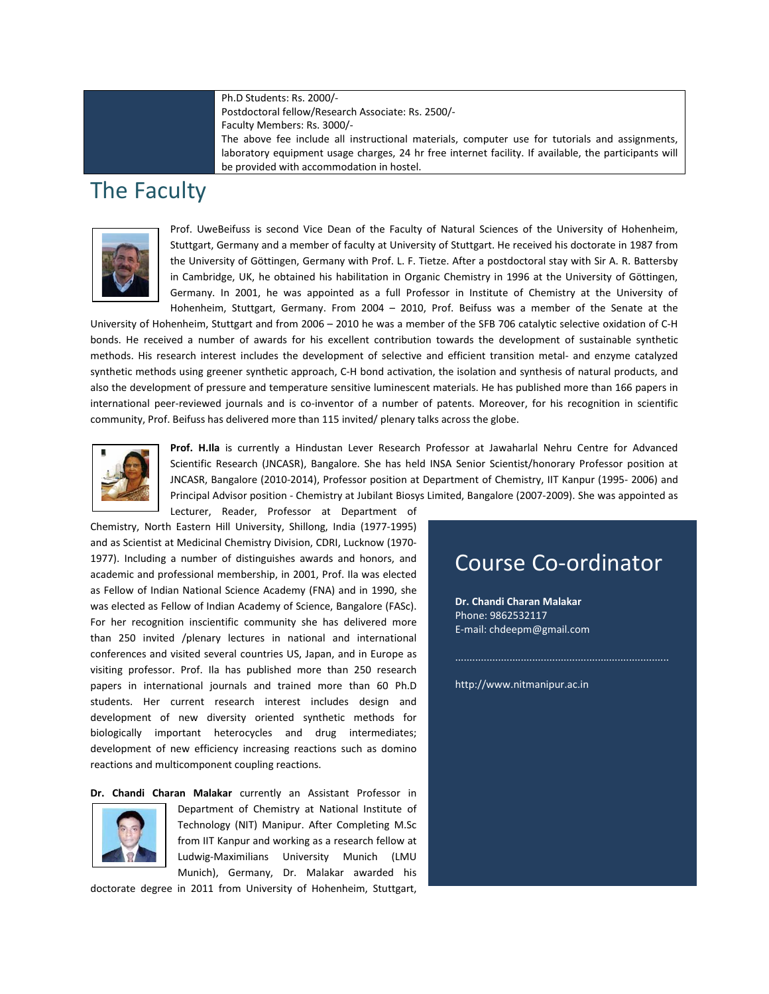Ph.D Students: Rs. 2000/- Postdoctoral fellow/Research Associate: Rs. 2500/- Faculty Members: Rs. 3000/- The above fee include all instructional materials, computer use for tutorials and assignments, laboratory equipment usage charges, 24 hr free internet facility. If available, the participants will be provided with accommodation in hostel.

## The Faculty



Prof. UweBeifuss is second Vice Dean of the Faculty of Natural Sciences of the University of Hohenheim, Stuttgart, Germany and a member of faculty at University of Stuttgart. He received his doctorate in 1987 from the University of Göttingen, Germany with Prof. L. F. Tietze. After a postdoctoral stay with Sir A. R. Battersby in Cambridge, UK, he obtained his habilitation in Organic Chemistry in 1996 at the University of Göttingen, Germany. In 2001, he was appointed as a full Professor in Institute of Chemistry at the University of Hohenheim, Stuttgart, Germany. From 2004 – 2010, Prof. Beifuss was a member of the Senate at the

University of Hohenheim, Stuttgart and from 2006 – 2010 he was a member of the SFB 706 catalytic selective oxidation of C-H bonds. He received a number of awards for his excellent contribution towards the development of sustainable synthetic methods. His research interest includes the development of selective and efficient transition metal- and enzyme catalyzed synthetic methods using greener synthetic approach, C-H bond activation, the isolation and synthesis of natural products, and also the development of pressure and temperature sensitive luminescent materials. He has published more than 166 papers in international peer-reviewed journals and is co-inventor of a number of patents. Moreover, for his recognition in scientific community, Prof. Beifuss has delivered more than 115 invited/ plenary talks across the globe.



**Prof. H.Ila** is currently a Hindustan Lever Research Professor at Jawaharlal Nehru Centre for Advanced Scientific Research (JNCASR), Bangalore. She has held INSA Senior Scientist/honorary Professor position at JNCASR, Bangalore (2010-2014), Professor position at Department of Chemistry, IIT Kanpur (1995- 2006) and Principal Advisor position - Chemistry at Jubilant Biosys Limited, Bangalore (2007-2009). She was appointed as

Lecturer, Reader, Professor at Department of

Chemistry, North Eastern Hill University, Shillong, India (1977-1995) and as Scientist at Medicinal Chemistry Division, CDRI, Lucknow (1970- 1977). Including a number of distinguishes awards and honors, and academic and professional membership, in 2001, Prof. Ila was elected as Fellow of Indian National Science Academy (FNA) and in 1990, she was elected as Fellow of Indian Academy of Science, Bangalore (FASc). For her recognition inscientific community she has delivered more than 250 invited /plenary lectures in national and international conferences and visited several countries US, Japan, and in Europe as visiting professor. Prof. Ila has published more than 250 research papers in international journals and trained more than 60 Ph.D students. Her current research interest includes design and development of new diversity oriented synthetic methods for biologically important heterocycles and drug intermediates; development of new efficiency increasing reactions such as domino reactions and multicomponent coupling reactions.

**Dr. Chandi Charan Malakar** currently an Assistant Professor in



Department of Chemistry at National Institute of Technology (NIT) Manipur. After Completing M.Sc from IIT Kanpur and working as a research fellow at Ludwig-Maximilians University Munich (LMU Munich), Germany, Dr. Malakar awarded his

doctorate degree in 2011 from University of Hohenheim, Stuttgart,

## Course Co-ordinator

**Dr. Chandi Charan Malakar**  Phone: 9862532117 E-mail: chdeepm@gmail.com

http://www.nitmanipur.ac.in